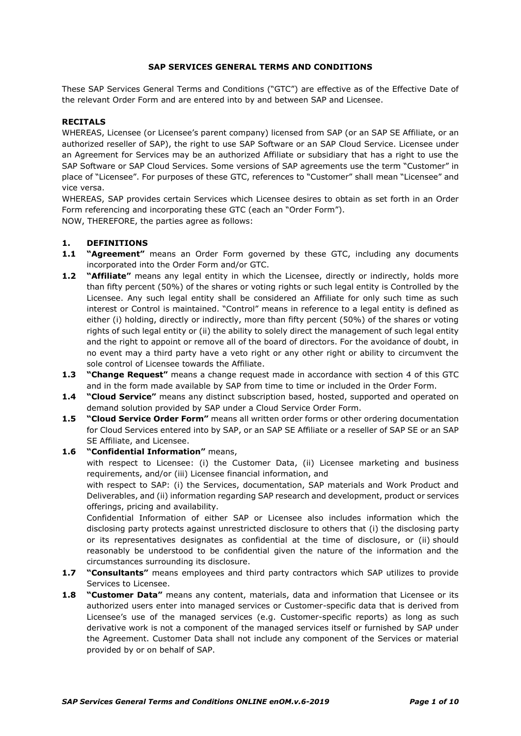### **SAP SERVICES GENERAL TERMS AND CONDITIONS**

These SAP Services General Terms and Conditions ("GTC") are effective as of the Effective Date of the relevant Order Form and are entered into by and between SAP and Licensee.

### **RECITALS**

WHEREAS, Licensee (or Licensee's parent company) licensed from SAP (or an SAP SE Affiliate, or an authorized reseller of SAP), the right to use SAP Software or an SAP Cloud Service. Licensee under an Agreement for Services may be an authorized Affiliate or subsidiary that has a right to use the SAP Software or SAP Cloud Services. Some versions of SAP agreements use the term "Customer" in place of "Licensee". For purposes of these GTC, references to "Customer" shall mean "Licensee" and vice versa.

WHEREAS, SAP provides certain Services which Licensee desires to obtain as set forth in an Order Form referencing and incorporating these GTC (each an "Order Form").

NOW, THEREFORE, the parties agree as follows:

## **1. DEFINITIONS**

- **1.1 "Agreement"** means an Order Form governed by these GTC, including any documents incorporated into the Order Form and/or GTC.
- **1.2 "Affiliate"** means any legal entity in which the Licensee, directly or indirectly, holds more than fifty percent (50%) of the shares or voting rights or such legal entity is Controlled by the Licensee. Any such legal entity shall be considered an Affiliate for only such time as such interest or Control is maintained. "Control" means in reference to a legal entity is defined as either (i) holding, directly or indirectly, more than fifty percent (50%) of the shares or voting rights of such legal entity or (ii) the ability to solely direct the management of such legal entity and the right to appoint or remove all of the board of directors. For the avoidance of doubt, in no event may a third party have a veto right or any other right or ability to circumvent the sole control of Licensee towards the Affiliate.
- **1.3 "Change Request"** means a change request made in accordance with section [4](#page-2-0) of this GTC and in the form made available by SAP from time to time or included in the Order Form.
- **1.4 "Cloud Service"** means any distinct subscription based, hosted, supported and operated on demand solution provided by SAP under a Cloud Service Order Form.
- **1.5 "Cloud Service Order Form"** means all written order forms or other ordering documentation for Cloud Services entered into by SAP, or an SAP SE Affiliate or a reseller of SAP SE or an SAP SE Affiliate, and Licensee.

## **1.6 "Confidential Information"** means,

with respect to Licensee: (i) the Customer Data, (ii) Licensee marketing and business requirements, and/or (iii) Licensee financial information, and

with respect to SAP: (i) the Services, documentation, SAP materials and Work Product and Deliverables, and (ii) information regarding SAP research and development, product or services offerings, pricing and availability.

Confidential Information of either SAP or Licensee also includes information which the disclosing party protects against unrestricted disclosure to others that (i) the disclosing party or its representatives designates as confidential at the time of disclosure, or (ii) should reasonably be understood to be confidential given the nature of the information and the circumstances surrounding its disclosure.

- **1.7 "Consultants"** means employees and third party contractors which SAP utilizes to provide Services to Licensee.
- **1.8 "Customer Data"** means any content, materials, data and information that Licensee or its authorized users enter into managed services or Customer-specific data that is derived from Licensee's use of the managed services (e.g. Customer-specific reports) as long as such derivative work is not a component of the managed services itself or furnished by SAP under the Agreement. Customer Data shall not include any component of the Services or material provided by or on behalf of SAP.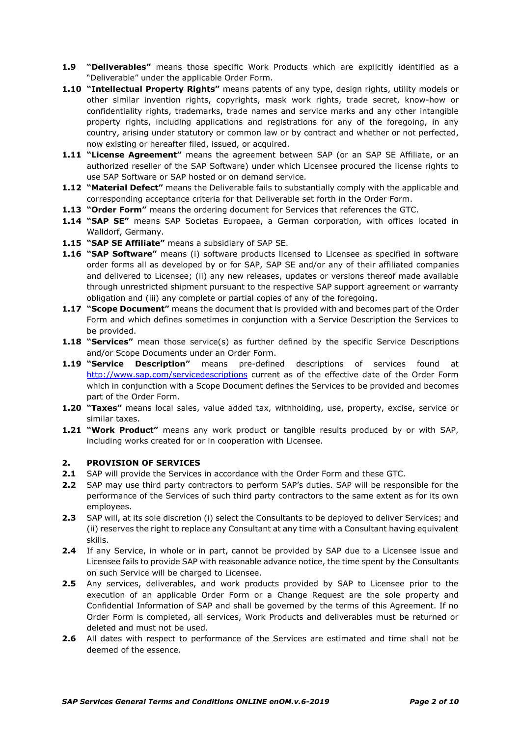- **1.9 "Deliverables"** means those specific Work Products which are explicitly identified as a "Deliverable" under the applicable Order Form.
- **1.10 "Intellectual Property Rights"** means patents of any type, design rights, utility models or other similar invention rights, copyrights, mask work rights, trade secret, know-how or confidentiality rights, trademarks, trade names and service marks and any other intangible property rights, including applications and registrations for any of the foregoing, in any country, arising under statutory or common law or by contract and whether or not perfected, now existing or hereafter filed, issued, or acquired.
- **1.11 "License Agreement"** means the agreement between SAP (or an SAP SE Affiliate, or an authorized reseller of the SAP Software) under which Licensee procured the license rights to use SAP Software or SAP hosted or on demand service*.*
- **1.12 "Material Defect"** means the Deliverable fails to substantially comply with the applicable and corresponding acceptance criteria for that Deliverable set forth in the Order Form.
- **1.13 "Order Form"** means the ordering document for Services that references the GTC.
- **1.14 "SAP SE"** means SAP Societas Europaea, a German corporation, with offices located in Walldorf, Germany.
- **1.15 "SAP SE Affiliate"** means a subsidiary of SAP SE.
- **1.16 "SAP Software"** means (i) software products licensed to Licensee as specified in software order forms all as developed by or for SAP, SAP SE and/or any of their affiliated companies and delivered to Licensee; (ii) any new releases, updates or versions thereof made available through unrestricted shipment pursuant to the respective SAP support agreement or warranty obligation and (iii) any complete or partial copies of any of the foregoing.
- **1.17 "Scope Document"** means the document that is provided with and becomes part of the Order Form and which defines sometimes in conjunction with a Service Description the Services to be provided.
- **1.18 "Services"** mean those service(s) as further defined by the specific Service Descriptions and/or Scope Documents under an Order Form.
- **1.19 "Service Description"** means pre-defined descriptions of services found at <http://www.sap.com/servicedescriptions> current as of the effective date of the Order Form which in conjunction with a Scope Document defines the Services to be provided and becomes part of the Order Form.
- **1.20 "Taxes"** means local sales, value added tax, withholding, use, property, excise, service or similar taxes.
- **1.21 "Work Product"** means any work product or tangible results produced by or with SAP, including works created for or in cooperation with Licensee.

### **2. PROVISION OF SERVICES**

- **2.1** SAP will provide the Services in accordance with the Order Form and these GTC.
- **2.2** SAP may use third party contractors to perform SAP's duties. SAP will be responsible for the performance of the Services of such third party contractors to the same extent as for its own employees.
- **2.3** SAP will, at its sole discretion (i) select the Consultants to be deployed to deliver Services; and (ii) reserves the right to replace any Consultant at any time with a Consultant having equivalent skills.
- **2.4** If any Service, in whole or in part, cannot be provided by SAP due to a Licensee issue and Licensee fails to provide SAP with reasonable advance notice, the time spent by the Consultants on such Service will be charged to Licensee.
- **2.5** Any services, deliverables, and work products provided by SAP to Licensee prior to the execution of an applicable Order Form or a Change Request are the sole property and Confidential Information of SAP and shall be governed by the terms of this Agreement. If no Order Form is completed, all services, Work Products and deliverables must be returned or deleted and must not be used.
- **2.6** All dates with respect to performance of the Services are estimated and time shall not be deemed of the essence.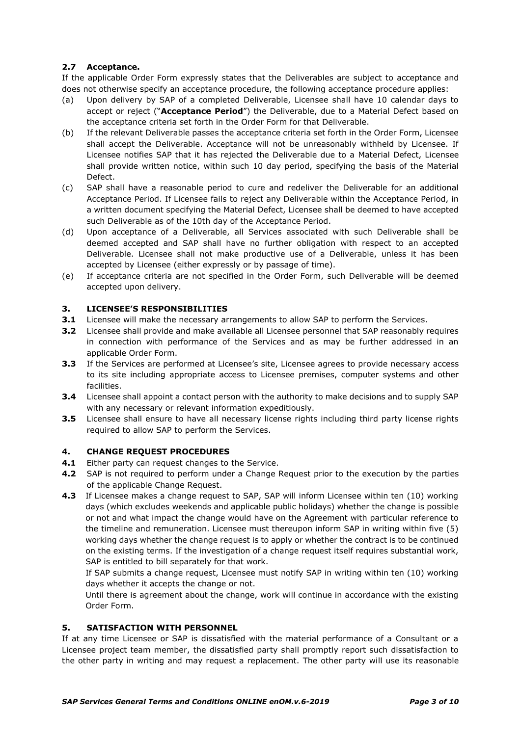# **2.7 Acceptance.**

If the applicable Order Form expressly states that the Deliverables are subject to acceptance and does not otherwise specify an acceptance procedure, the following acceptance procedure applies:

- (a) Upon delivery by SAP of a completed Deliverable, Licensee shall have 10 calendar days to accept or reject ("**Acceptance Period**") the Deliverable, due to a Material Defect based on the acceptance criteria set forth in the Order Form for that Deliverable.
- (b) If the relevant Deliverable passes the acceptance criteria set forth in the Order Form, Licensee shall accept the Deliverable. Acceptance will not be unreasonably withheld by Licensee. If Licensee notifies SAP that it has rejected the Deliverable due to a Material Defect, Licensee shall provide written notice, within such 10 day period, specifying the basis of the Material Defect.
- (c) SAP shall have a reasonable period to cure and redeliver the Deliverable for an additional Acceptance Period. If Licensee fails to reject any Deliverable within the Acceptance Period, in a written document specifying the Material Defect, Licensee shall be deemed to have accepted such Deliverable as of the 10th day of the Acceptance Period.
- (d) Upon acceptance of a Deliverable, all Services associated with such Deliverable shall be deemed accepted and SAP shall have no further obligation with respect to an accepted Deliverable. Licensee shall not make productive use of a Deliverable, unless it has been accepted by Licensee (either expressly or by passage of time).
- (e) If acceptance criteria are not specified in the Order Form, such Deliverable will be deemed accepted upon delivery.

# **3. LICENSEE'S RESPONSIBILITIES**

- **3.1** Licensee will make the necessary arrangements to allow SAP to perform the Services.
- **3.2** Licensee shall provide and make available all Licensee personnel that SAP reasonably requires in connection with performance of the Services and as may be further addressed in an applicable Order Form.
- **3.3** If the Services are performed at Licensee's site, Licensee agrees to provide necessary access to its site including appropriate access to Licensee premises, computer systems and other facilities.
- **3.4** Licensee shall appoint a contact person with the authority to make decisions and to supply SAP with any necessary or relevant information expeditiously.
- **3.5** Licensee shall ensure to have all necessary license rights including third party license rights required to allow SAP to perform the Services.

## <span id="page-2-0"></span>**4. CHANGE REQUEST PROCEDURES**

- **4.1** Either party can request changes to the Service.
- **4.2** SAP is not required to perform under a Change Request prior to the execution by the parties of the applicable Change Request.
- **4.3** If Licensee makes a change request to SAP, SAP will inform Licensee within ten (10) working days (which excludes weekends and applicable public holidays) whether the change is possible or not and what impact the change would have on the Agreement with particular reference to the timeline and remuneration. Licensee must thereupon inform SAP in writing within five (5) working days whether the change request is to apply or whether the contract is to be continued on the existing terms. If the investigation of a change request itself requires substantial work, SAP is entitled to bill separately for that work.

If SAP submits a change request, Licensee must notify SAP in writing within ten (10) working days whether it accepts the change or not.

Until there is agreement about the change, work will continue in accordance with the existing Order Form.

## **5. SATISFACTION WITH PERSONNEL**

If at any time Licensee or SAP is dissatisfied with the material performance of a Consultant or a Licensee project team member, the dissatisfied party shall promptly report such dissatisfaction to the other party in writing and may request a replacement. The other party will use its reasonable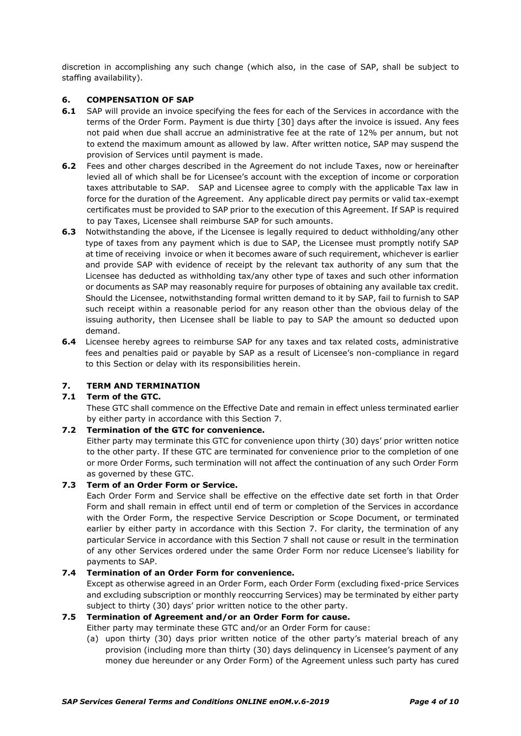discretion in accomplishing any such change (which also, in the case of SAP, shall be subject to staffing availability).

## **6. COMPENSATION OF SAP**

- **6.1** SAP will provide an invoice specifying the fees for each of the Services in accordance with the terms of the Order Form. Payment is due thirty [30] days after the invoice is issued. Any fees not paid when due shall accrue an administrative fee at the rate of 12% per annum, but not to extend the maximum amount as allowed by law. After written notice, SAP may suspend the provision of Services until payment is made.
- **6.2** Fees and other charges described in the Agreement do not include Taxes, now or hereinafter levied all of which shall be for Licensee's account with the exception of income or corporation taxes attributable to SAP. SAP and Licensee agree to comply with the applicable Tax law in force for the duration of the Agreement. Any applicable direct pay permits or valid tax-exempt certificates must be provided to SAP prior to the execution of this Agreement. If SAP is required to pay Taxes, Licensee shall reimburse SAP for such amounts.
- **6.3** Notwithstanding the above, if the Licensee is legally required to deduct withholding/any other type of taxes from any payment which is due to SAP, the Licensee must promptly notify SAP at time of receiving invoice or when it becomes aware of such requirement, whichever is earlier and provide SAP with evidence of receipt by the relevant tax authority of any sum that the Licensee has deducted as withholding tax/any other type of taxes and such other information or documents as SAP may reasonably require for purposes of obtaining any available tax credit. Should the Licensee, notwithstanding formal written demand to it by SAP, fail to furnish to SAP such receipt within a reasonable period for any reason other than the obvious delay of the issuing authority, then Licensee shall be liable to pay to SAP the amount so deducted upon demand.
- **6.4** Licensee hereby agrees to reimburse SAP for any taxes and tax related costs, administrative fees and penalties paid or payable by SAP as a result of Licensee's non-compliance in regard to this Section or delay with its responsibilities herein.

## **7. TERM AND TERMINATION**

# **7.1 Term of the GTC.**

These GTC shall commence on the Effective Date and remain in effect unless terminated earlier by either party in accordance with this Section 7.

### **7.2 Termination of the GTC for convenience.**

Either party may terminate this GTC for convenience upon thirty (30) days' prior written notice to the other party. If these GTC are terminated for convenience prior to the completion of one or more Order Forms, such termination will not affect the continuation of any such Order Form as governed by these GTC.

# **7.3 Term of an Order Form or Service.**

Each Order Form and Service shall be effective on the effective date set forth in that Order Form and shall remain in effect until end of term or completion of the Services in accordance with the Order Form, the respective Service Description or Scope Document, or terminated earlier by either party in accordance with this Section 7. For clarity, the termination of any particular Service in accordance with this Section 7 shall not cause or result in the termination of any other Services ordered under the same Order Form nor reduce Licensee's liability for payments to SAP.

### **7.4 Termination of an Order Form for convenience.**

Except as otherwise agreed in an Order Form, each Order Form (excluding fixed-price Services and excluding subscription or monthly reoccurring Services) may be terminated by either party subject to thirty (30) days' prior written notice to the other party.

### **7.5 Termination of Agreement and/or an Order Form for cause.**

Either party may terminate these GTC and/or an Order Form for cause:

(a) upon thirty (30) days prior written notice of the other party's material breach of any provision (including more than thirty (30) days delinquency in Licensee's payment of any money due hereunder or any Order Form) of the Agreement unless such party has cured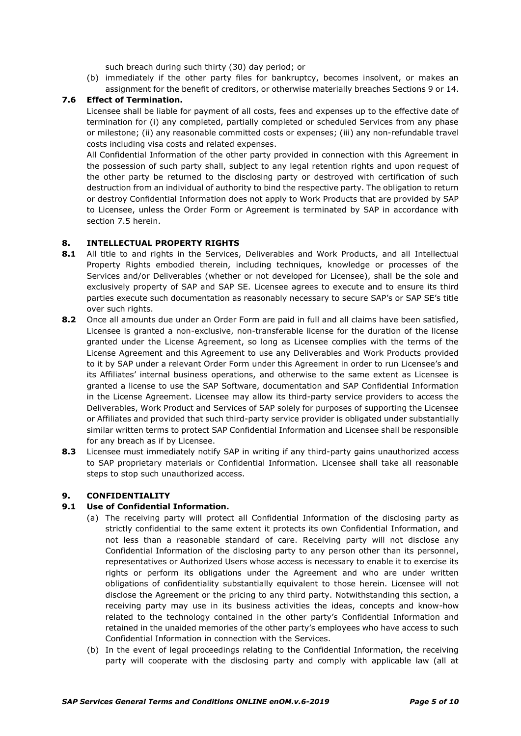such breach during such thirty (30) day period; or

(b) immediately if the other party files for bankruptcy, becomes insolvent, or makes an assignment for the benefit of creditors, or otherwise materially breaches Sections 9 or 14.

### **7.6 Effect of Termination.**

Licensee shall be liable for payment of all costs, fees and expenses up to the effective date of termination for (i) any completed, partially completed or scheduled Services from any phase or milestone; (ii) any reasonable committed costs or expenses; (iii) any non-refundable travel costs including visa costs and related expenses.

All Confidential Information of the other party provided in connection with this Agreement in the possession of such party shall, subject to any legal retention rights and upon request of the other party be returned to the disclosing party or destroyed with certification of such destruction from an individual of authority to bind the respective party. The obligation to return or destroy Confidential Information does not apply to Work Products that are provided by SAP to Licensee, unless the Order Form or Agreement is terminated by SAP in accordance with section 7.5 herein.

### **8. INTELLECTUAL PROPERTY RIGHTS**

- **8.1** All title to and rights in the Services, Deliverables and Work Products, and all Intellectual Property Rights embodied therein, including techniques, knowledge or processes of the Services and/or Deliverables (whether or not developed for Licensee), shall be the sole and exclusively property of SAP and SAP SE. Licensee agrees to execute and to ensure its third parties execute such documentation as reasonably necessary to secure SAP's or SAP SE's title over such rights.
- **8.2** Once all amounts due under an Order Form are paid in full and all claims have been satisfied, Licensee is granted a non-exclusive, non-transferable license for the duration of the license granted under the License Agreement, so long as Licensee complies with the terms of the License Agreement and this Agreement to use any Deliverables and Work Products provided to it by SAP under a relevant Order Form under this Agreement in order to run Licensee's and its Affiliates' internal business operations, and otherwise to the same extent as Licensee is granted a license to use the SAP Software, documentation and SAP Confidential Information in the License Agreement. Licensee may allow its third-party service providers to access the Deliverables, Work Product and Services of SAP solely for purposes of supporting the Licensee or Affiliates and provided that such third-party service provider is obligated under substantially similar written terms to protect SAP Confidential Information and Licensee shall be responsible for any breach as if by Licensee.
- **8.3** Licensee must immediately notify SAP in writing if any third-party gains unauthorized access to SAP proprietary materials or Confidential Information. Licensee shall take all reasonable steps to stop such unauthorized access.

## **9. CONFIDENTIALITY**

### **9.1 Use of Confidential Information.**

- (a) The receiving party will protect all Confidential Information of the disclosing party as strictly confidential to the same extent it protects its own Confidential Information, and not less than a reasonable standard of care. Receiving party will not disclose any Confidential Information of the disclosing party to any person other than its personnel, representatives or Authorized Users whose access is necessary to enable it to exercise its rights or perform its obligations under the Agreement and who are under written obligations of confidentiality substantially equivalent to those herein. Licensee will not disclose the Agreement or the pricing to any third party. Notwithstanding this section, a receiving party may use in its business activities the ideas, concepts and know-how related to the technology contained in the other party's Confidential Information and retained in the unaided memories of the other party's employees who have access to such Confidential Information in connection with the Services.
- (b) In the event of legal proceedings relating to the Confidential Information, the receiving party will cooperate with the disclosing party and comply with applicable law (all at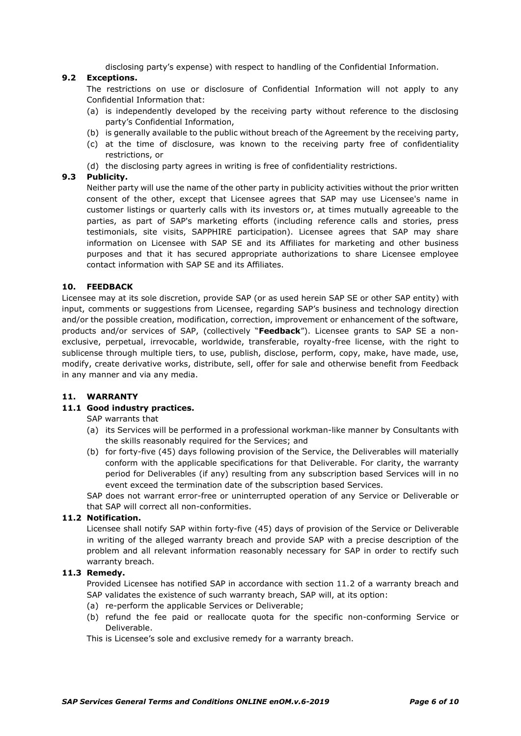disclosing party's expense) with respect to handling of the Confidential Information.

# **9.2 Exceptions.**

The restrictions on use or disclosure of Confidential Information will not apply to any Confidential Information that:

- (a) is independently developed by the receiving party without reference to the disclosing party's Confidential Information,
- (b) is generally available to the public without breach of the Agreement by the receiving party,
- (c) at the time of disclosure, was known to the receiving party free of confidentiality restrictions, or
- (d) the disclosing party agrees in writing is free of confidentiality restrictions.

### **9.3 Publicity.**

Neither party will use the name of the other party in publicity activities without the prior written consent of the other, except that Licensee agrees that SAP may use Licensee's name in customer listings or quarterly calls with its investors or, at times mutually agreeable to the parties, as part of SAP's marketing efforts (including reference calls and stories, press testimonials, site visits, SAPPHIRE participation). Licensee agrees that SAP may share information on Licensee with SAP SE and its Affiliates for marketing and other business purposes and that it has secured appropriate authorizations to share Licensee employee contact information with SAP SE and its Affiliates.

### **10. FEEDBACK**

Licensee may at its sole discretion, provide SAP (or as used herein SAP SE or other SAP entity) with input, comments or suggestions from Licensee, regarding SAP's business and technology direction and/or the possible creation, modification, correction, improvement or enhancement of the software, products and/or services of SAP, (collectively "**Feedback**"). Licensee grants to SAP SE a nonexclusive, perpetual, irrevocable, worldwide, transferable, royalty-free license, with the right to sublicense through multiple tiers, to use, publish, disclose, perform, copy, make, have made, use, modify, create derivative works, distribute, sell, offer for sale and otherwise benefit from Feedback in any manner and via any media.

### **11. WARRANTY**

## **11.1 Good industry practices.**

SAP warrants that

- (a) its Services will be performed in a professional workman-like manner by Consultants with the skills reasonably required for the Services; and
- (b) for forty-five (45) days following provision of the Service, the Deliverables will materially conform with the applicable specifications for that Deliverable. For clarity, the warranty period for Deliverables (if any) resulting from any subscription based Services will in no event exceed the termination date of the subscription based Services.

SAP does not warrant error-free or uninterrupted operation of any Service or Deliverable or that SAP will correct all non-conformities.

### **11.2 Notification.**

Licensee shall notify SAP within forty-five (45) days of provision of the Service or Deliverable in writing of the alleged warranty breach and provide SAP with a precise description of the problem and all relevant information reasonably necessary for SAP in order to rectify such warranty breach.

### **11.3 Remedy.**

Provided Licensee has notified SAP in accordance with section 11.2 of a warranty breach and SAP validates the existence of such warranty breach, SAP will, at its option:

- (a) re-perform the applicable Services or Deliverable;
- (b) refund the fee paid or reallocate quota for the specific non-conforming Service or Deliverable.

This is Licensee's sole and exclusive remedy for a warranty breach.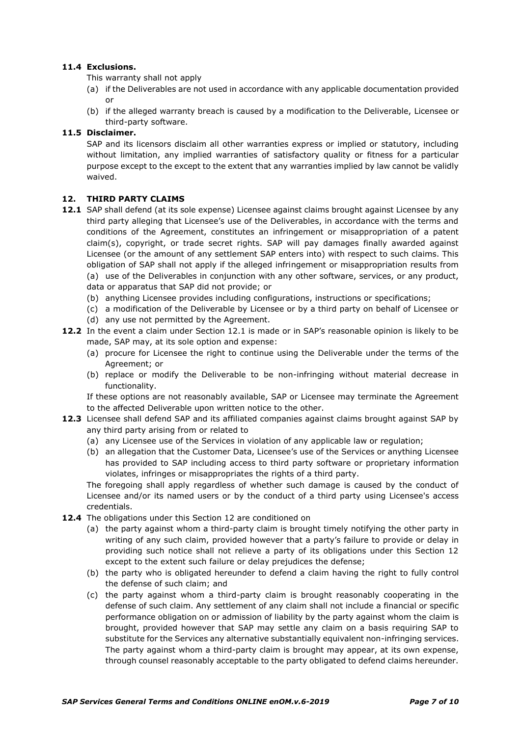## **11.4 Exclusions.**

This warranty shall not apply

- (a) if the Deliverables are not used in accordance with any applicable documentation provided or
- (b) if the alleged warranty breach is caused by a modification to the Deliverable, Licensee or third-party software.

# **11.5 Disclaimer.**

SAP and its licensors disclaim all other warranties express or implied or statutory, including without limitation, any implied warranties of satisfactory quality or fitness for a particular purpose except to the except to the extent that any warranties implied by law cannot be validly waived.

## **12. THIRD PARTY CLAIMS**

- 12.1 SAP shall defend (at its sole expense) Licensee against claims brought against Licensee by any third party alleging that Licensee's use of the Deliverables, in accordance with the terms and conditions of the Agreement, constitutes an infringement or misappropriation of a patent claim(s), copyright, or trade secret rights. SAP will pay damages finally awarded against Licensee (or the amount of any settlement SAP enters into) with respect to such claims. This obligation of SAP shall not apply if the alleged infringement or misappropriation results from (a) use of the Deliverables in conjunction with any other software, services, or any product, data or apparatus that SAP did not provide; or
	- (b) anything Licensee provides including configurations, instructions or specifications;
	- (c) a modification of the Deliverable by Licensee or by a third party on behalf of Licensee or
	- (d) any use not permitted by the Agreement.
- **12.2** In the event a claim under Section 12.1 is made or in SAP's reasonable opinion is likely to be made, SAP may, at its sole option and expense:
	- (a) procure for Licensee the right to continue using the Deliverable under the terms of the Agreement; or
	- (b) replace or modify the Deliverable to be non-infringing without material decrease in functionality.

If these options are not reasonably available, SAP or Licensee may terminate the Agreement to the affected Deliverable upon written notice to the other.

- **12.3** Licensee shall defend SAP and its affiliated companies against claims brought against SAP by any third party arising from or related to
	- (a) any Licensee use of the Services in violation of any applicable law or regulation;
	- (b) an allegation that the Customer Data, Licensee's use of the Services or anything Licensee has provided to SAP including access to third party software or proprietary information violates, infringes or misappropriates the rights of a third party.

The foregoing shall apply regardless of whether such damage is caused by the conduct of Licensee and/or its named users or by the conduct of a third party using Licensee's access credentials.

- **12.4** The obligations under this Section 12 are conditioned on
	- (a) the party against whom a third-party claim is brought timely notifying the other party in writing of any such claim, provided however that a party's failure to provide or delay in providing such notice shall not relieve a party of its obligations under this Section 12 except to the extent such failure or delay prejudices the defense;
	- (b) the party who is obligated hereunder to defend a claim having the right to fully control the defense of such claim; and
	- (c) the party against whom a third-party claim is brought reasonably cooperating in the defense of such claim. Any settlement of any claim shall not include a financial or specific performance obligation on or admission of liability by the party against whom the claim is brought, provided however that SAP may settle any claim on a basis requiring SAP to substitute for the Services any alternative substantially equivalent non-infringing services. The party against whom a third-party claim is brought may appear, at its own expense, through counsel reasonably acceptable to the party obligated to defend claims hereunder.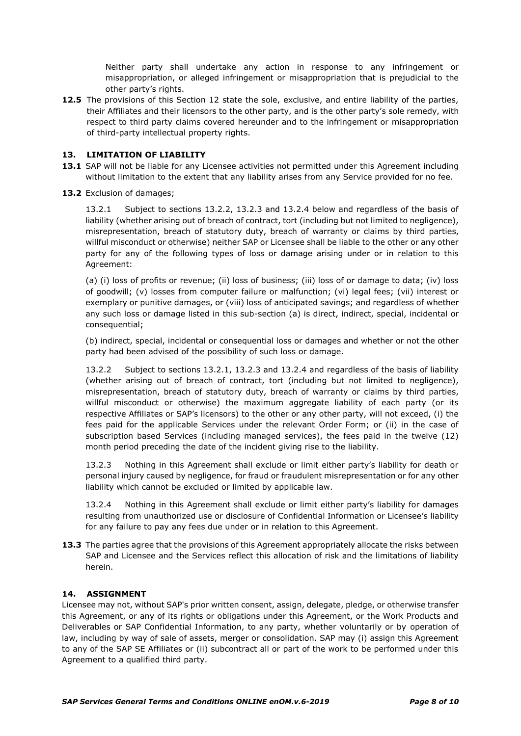Neither party shall undertake any action in response to any infringement or misappropriation, or alleged infringement or misappropriation that is prejudicial to the other party's rights.

**12.5** The provisions of this Section 12 state the sole, exclusive, and entire liability of the parties, their Affiliates and their licensors to the other party, and is the other party's sole remedy, with respect to third party claims covered hereunder and to the infringement or misappropriation of third-party intellectual property rights.

## **13. LIMITATION OF LIABILITY**

- 13.1 SAP will not be liable for any Licensee activities not permitted under this Agreement including without limitation to the extent that any liability arises from any Service provided for no fee.
- 13.2 Exclusion of damages;

13.2.1 Subject to sections 13.2.2, 13.2.3 and 13.2.4 below and regardless of the basis of liability (whether arising out of breach of contract, tort (including but not limited to negligence), misrepresentation, breach of statutory duty, breach of warranty or claims by third parties, willful misconduct or otherwise) neither SAP or Licensee shall be liable to the other or any other party for any of the following types of loss or damage arising under or in relation to this Agreement:

(a) (i) loss of profits or revenue; (ii) loss of business; (iii) loss of or damage to data; (iv) loss of goodwill; (v) losses from computer failure or malfunction; (vi) legal fees; (vii) interest or exemplary or punitive damages, or (viii) loss of anticipated savings; and regardless of whether any such loss or damage listed in this sub-section (a) is direct, indirect, special, incidental or consequential;

(b) indirect, special, incidental or consequential loss or damages and whether or not the other party had been advised of the possibility of such loss or damage.

13.2.2 Subject to sections 13.2.1, 13.2.3 and 13.2.4 and regardless of the basis of liability (whether arising out of breach of contract, tort (including but not limited to negligence), misrepresentation, breach of statutory duty, breach of warranty or claims by third parties, willful misconduct or otherwise) the maximum aggregate liability of each party (or its respective Affiliates or SAP's licensors) to the other or any other party, will not exceed, (i) the fees paid for the applicable Services under the relevant Order Form; or (ii) in the case of subscription based Services (including managed services), the fees paid in the twelve (12) month period preceding the date of the incident giving rise to the liability.

13.2.3 Nothing in this Agreement shall exclude or limit either party's liability for death or personal injury caused by negligence, for fraud or fraudulent misrepresentation or for any other liability which cannot be excluded or limited by applicable law.

13.2.4 Nothing in this Agreement shall exclude or limit either party's liability for damages resulting from unauthorized use or disclosure of Confidential Information or Licensee's liability for any failure to pay any fees due under or in relation to this Agreement.

**13.3** The parties agree that the provisions of this Agreement appropriately allocate the risks between SAP and Licensee and the Services reflect this allocation of risk and the limitations of liability herein.

### **14. ASSIGNMENT**

Licensee may not, without SAP's prior written consent, assign, delegate, pledge, or otherwise transfer this Agreement, or any of its rights or obligations under this Agreement, or the Work Products and Deliverables or SAP Confidential Information, to any party, whether voluntarily or by operation of law, including by way of sale of assets, merger or consolidation. SAP may (i) assign this Agreement to any of the SAP SE Affiliates or (ii) subcontract all or part of the work to be performed under this Agreement to a qualified third party.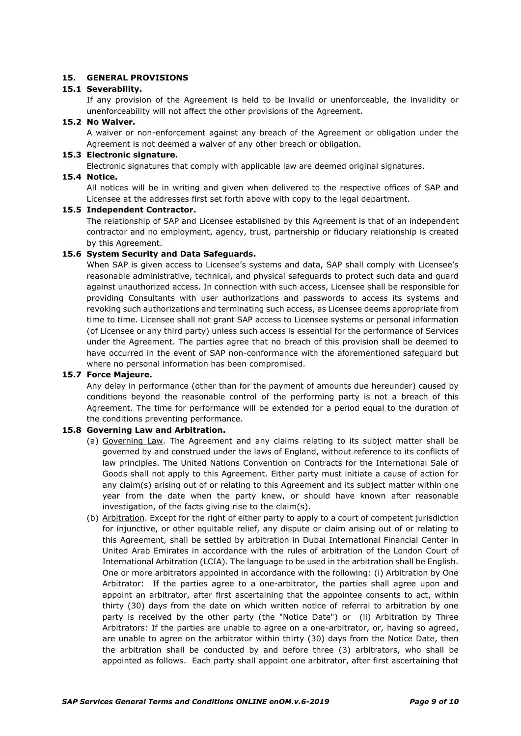### **15. GENERAL PROVISIONS**

### **15.1 Severability.**

If any provision of the Agreement is held to be invalid or unenforceable, the invalidity or unenforceability will not affect the other provisions of the Agreement.

### **15.2 No Waiver.**

**15.4 Notice.**

A waiver or non-enforcement against any breach of the Agreement or obligation under the Agreement is not deemed a waiver of any other breach or obligation.

### **15.3 Electronic signature.**

Electronic signatures that comply with applicable law are deemed original signatures.

All notices will be in writing and given when delivered to the respective offices of SAP and Licensee at the addresses first set forth above with copy to the legal department.

#### **15.5 Independent Contractor.**

The relationship of SAP and Licensee established by this Agreement is that of an independent contractor and no employment, agency, trust, partnership or fiduciary relationship is created by this Agreement.

### **15.6 System Security and Data Safeguards.**

When SAP is given access to Licensee's systems and data, SAP shall comply with Licensee's reasonable administrative, technical, and physical safeguards to protect such data and guard against unauthorized access. In connection with such access, Licensee shall be responsible for providing Consultants with user authorizations and passwords to access its systems and revoking such authorizations and terminating such access, as Licensee deems appropriate from time to time. Licensee shall not grant SAP access to Licensee systems or personal information (of Licensee or any third party) unless such access is essential for the performance of Services under the Agreement. The parties agree that no breach of this provision shall be deemed to have occurred in the event of SAP non-conformance with the aforementioned safeguard but where no personal information has been compromised.

### **15.7 Force Majeure.**

Any delay in performance (other than for the payment of amounts due hereunder) caused by conditions beyond the reasonable control of the performing party is not a breach of this Agreement. The time for performance will be extended for a period equal to the duration of the conditions preventing performance.

### **15.8 Governing Law and Arbitration.**

- (a) Governing Law. The Agreement and any claims relating to its subject matter shall be governed by and construed under the laws of England, without reference to its conflicts of law principles. The United Nations Convention on Contracts for the International Sale of Goods shall not apply to this Agreement. Either party must initiate a cause of action for any claim(s) arising out of or relating to this Agreement and its subject matter within one year from the date when the party knew, or should have known after reasonable investigation, of the facts giving rise to the claim(s).
- (b) Arbitration. Except for the right of either party to apply to a court of competent jurisdiction for injunctive, or other equitable relief, any dispute or claim arising out of or relating to this Agreement, shall be settled by arbitration in Dubai International Financial Center in United Arab Emirates in accordance with the rules of arbitration of the London Court of International Arbitration (LCIA). The language to be used in the arbitration shall be English. One or more arbitrators appointed in accordance with the following: (i) Arbitration by One Arbitrator: If the parties agree to a one-arbitrator, the parties shall agree upon and appoint an arbitrator, after first ascertaining that the appointee consents to act, within thirty (30) days from the date on which written notice of referral to arbitration by one party is received by the other party (the "Notice Date") or (ii) Arbitration by Three Arbitrators: If the parties are unable to agree on a one-arbitrator, or, having so agreed, are unable to agree on the arbitrator within thirty (30) days from the Notice Date, then the arbitration shall be conducted by and before three (3) arbitrators, who shall be appointed as follows. Each party shall appoint one arbitrator, after first ascertaining that